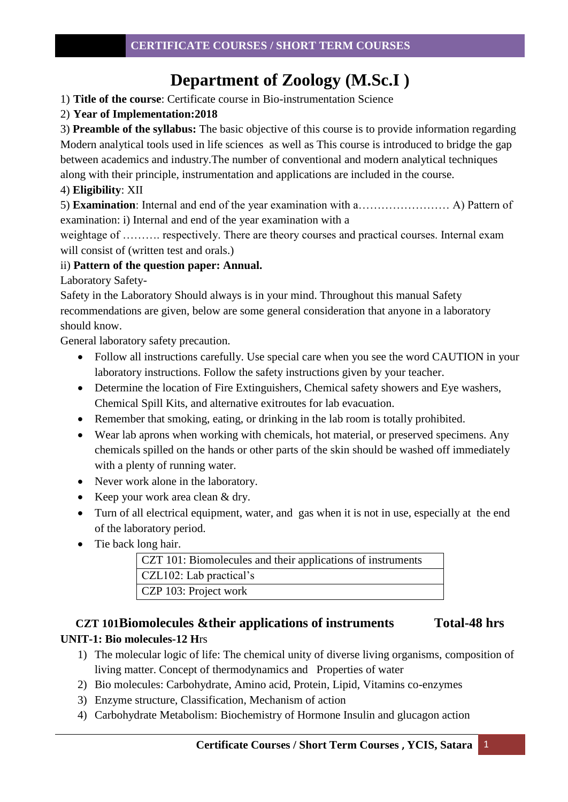# **Department of Zoology (M.Sc.I )**

1) **Title of the course**: Certificate course in Bio-instrumentation Science

# 2) **Year of Implementation:2018**

3) **Preamble of the syllabus:** The basic objective of this course is to provide information regarding Modern analytical tools used in life sciences as well as This course is introduced to bridge the gap between academics and industry.The number of conventional and modern analytical techniques along with their principle, instrumentation and applications are included in the course.

## 4) **Eligibility**: XII

5) **Examination**: Internal and end of the year examination with a…………………… A) Pattern of examination: i) Internal and end of the year examination with a

weightage of ………. respectively. There are theory courses and practical courses. Internal exam will consist of (written test and orals.)

# ii) **Pattern of the question paper: Annual.**

Laboratory Safety-

Safety in the Laboratory Should always is in your mind. Throughout this manual Safety recommendations are given, below are some general consideration that anyone in a laboratory should know.

General laboratory safety precaution.

- Follow all instructions carefully. Use special care when you see the word CAUTION in your laboratory instructions. Follow the safety instructions given by your teacher.
- Determine the location of Fire Extinguishers, Chemical safety showers and Eye washers, Chemical Spill Kits, and alternative exitroutes for lab evacuation.
- Remember that smoking, eating, or drinking in the lab room is totally prohibited.
- Wear lab aprons when working with chemicals, hot material, or preserved specimens. Any chemicals spilled on the hands or other parts of the skin should be washed off immediately with a plenty of running water.
- Never work alone in the laboratory.
- Keep your work area clean & dry.
- Turn of all electrical equipment, water, and gas when it is not in use, especially at the end of the laboratory period.
- Tie back long hair.

| CZT 101: Biomolecules and their applications of instruments |
|-------------------------------------------------------------|
| CZL102: Lab practical's                                     |
| CZP 103: Project work                                       |

# **CZT 101Biomolecules &their applications of instruments Total-48 hrs UNIT-1: Bio molecules-12 H**rs

- 1) The molecular logic of life: The chemical unity of diverse living organisms, composition of living matter. Concept of thermodynamics and Properties of water
- 2) Bio molecules: Carbohydrate, Amino acid, Protein, Lipid, Vitamins co-enzymes
- 3) Enzyme structure, Classification, Mechanism of action
- 4) Carbohydrate Metabolism: Biochemistry of Hormone Insulin and glucagon action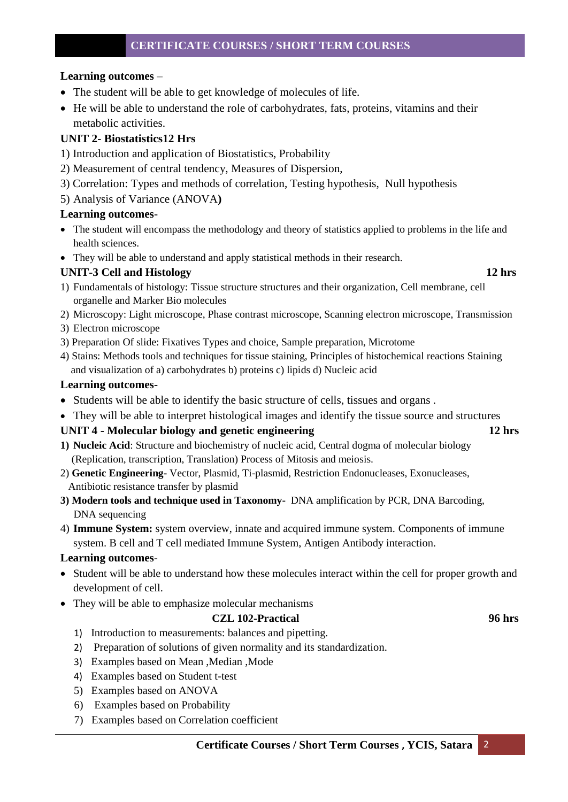#### **Learning outcomes** –

- The student will be able to get knowledge of molecules of life.
- He will be able to understand the role of carbohydrates, fats, proteins, vitamins and their metabolic activities.

## **UNIT 2- Biostatistics12 Hrs**

- 1) Introduction and application of Biostatistics, Probability
- 2) Measurement of central tendency, Measures of Dispersion,
- 3) Correlation: Types and methods of correlation, Testing hypothesis, Null hypothesis
- 5) Analysis of Variance (ANOVA**)**

#### **Learning outcomes**-

- The student will encompass the methodology and theory of statistics applied to problems in the life and health sciences.
- They will be able to understand and apply statistical methods in their research.

# **UNIT-3 Cell and Histology 12 hrs**

- 
- 1) Fundamentals of histology: Tissue structure structures and their organization, Cell membrane, cell organelle and Marker Bio molecules
- 2) Microscopy: Light microscope, Phase contrast microscope, Scanning electron microscope, Transmission
- 3) Electron microscope
- 3) Preparation Of slide: Fixatives Types and choice, Sample preparation, Microtome
- 4) Stains: Methods tools and techniques for tissue staining, Principles of histochemical reactions Staining and visualization of a) carbohydrates b) proteins c) lipids d) Nucleic acid

#### **Learning outcomes-**

- Students will be able to identify the basic structure of cells, tissues and organs .
- They will be able to interpret histological images and identify the tissue source and structures

#### **UNIT 4 - Molecular biology and genetic engineering 12 hrs**

- **1) Nucleic Acid**: Structure and biochemistry of nucleic acid, Central dogma of molecular biology (Replication, transcription, Translation) Process of Mitosis and meiosis.
- 2) **Genetic Engineering-** Vector, Plasmid, Ti-plasmid, Restriction Endonucleases, Exonucleases, Antibiotic resistance transfer by plasmid
- **3) Modern tools and technique used in Taxonomy-** DNA amplification by PCR, DNA Barcoding, DNA sequencing
- 4) **Immune System:** system overview, innate and acquired immune system. Components of immune system. B cell and T cell mediated Immune System, Antigen Antibody interaction.

#### **Learning outcomes**-

- Student will be able to understand how these molecules interact within the cell for proper growth and development of cell.
- They will be able to emphasize molecular mechanisms

#### **CZL 102-Practical 96 hrs**

- 1) Introduction to measurements: balances and pipetting.
- 2) Preparation of solutions of given normality and its standardization.
- 3) Examples based on Mean ,Median ,Mode
- 4) Examples based on Student t-test
- 5) Examples based on ANOVA
- 6) Examples based on Probability
- 7) Examples based on Correlation coefficient